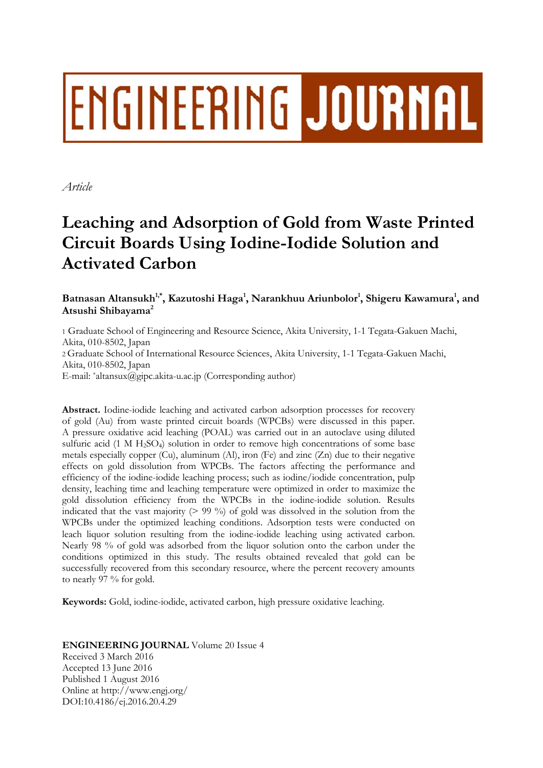# ENGINEERING JOURNAL

*Article* 

# **Leaching and Adsorption of Gold from Waste Printed Circuit Boards Using Iodine-Iodide Solution and Activated Carbon**

Batnasan Altansukh<sup>1,\*</sup>, Kazutoshi Haga<sup>1</sup>, Narankhuu Ariunbolor<sup>1</sup>, Shigeru Kawamura<sup>1</sup>, and **Atsushi Shibayama2**

1 Graduate School of Engineering and Resource Science, Akita University, 1-1 Tegata-Gakuen Machi, Akita, 010-8502, Japan 2 Graduate School of International Resource Sciences, Akita University, 1-1 Tegata-Gakuen Machi, Akita, 010-8502, Japan E-mail: \*altansux@gipc.akita-u.ac.jp (Corresponding author)

**Abstract.** Iodine-iodide leaching and activated carbon adsorption processes for recovery of gold (Au) from waste printed circuit boards (WPCBs) were discussed in this paper. A pressure oxidative acid leaching (POAL) was carried out in an autoclave using diluted sulfuric acid (1 M H<sub>2</sub>SO<sub>4</sub>) solution in order to remove high concentrations of some base metals especially copper (Cu), aluminum (Al), iron (Fe) and zinc (Zn) due to their negative effects on gold dissolution from WPCBs. The factors affecting the performance and efficiency of the iodine-iodide leaching process; such as iodine/iodide concentration, pulp density, leaching time and leaching temperature were optimized in order to maximize the gold dissolution efficiency from the WPCBs in the iodine-iodide solution. Results indicated that the vast majority  $(> 99\%)$  of gold was dissolved in the solution from the WPCBs under the optimized leaching conditions. Adsorption tests were conducted on leach liquor solution resulting from the iodine-iodide leaching using activated carbon. Nearly 98 % of gold was adsorbed from the liquor solution onto the carbon under the conditions optimized in this study. The results obtained revealed that gold can be successfully recovered from this secondary resource, where the percent recovery amounts to nearly 97 % for gold.

**Keywords:** Gold, iodine-iodide, activated carbon, high pressure oxidative leaching.

**ENGINEERING JOURNAL** Volume 20 Issue 4 Received 3 March 2016 Accepted 13 June 2016 Published 1 August 2016 Online at http://www.engj.org/ DOI:10.4186/ej.2016.20.4.29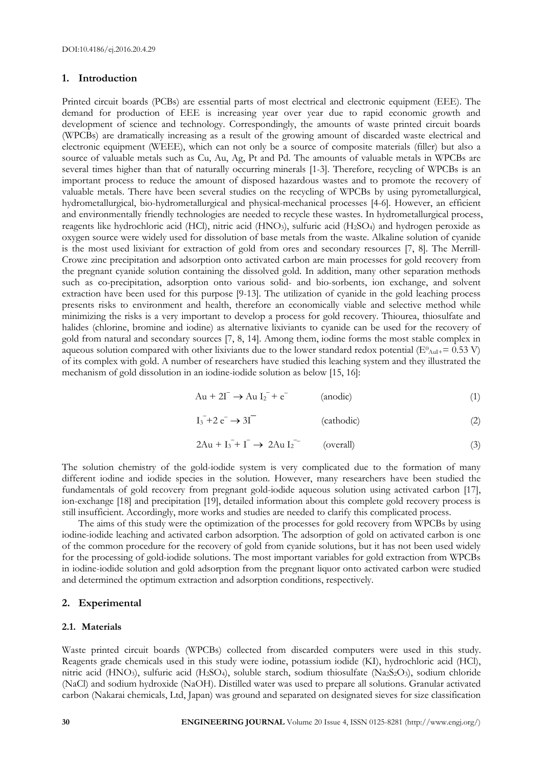# **1. Introduction**

Printed circuit boards (PCBs) are essential parts of most electrical and electronic equipment (EEE). The demand for production of EEE is increasing year over year due to rapid economic growth and development of science and technology. Correspondingly, the amounts of waste printed circuit boards (WPCBs) are dramatically increasing as a result of the growing amount of discarded waste electrical and electronic equipment (WEEE), which can not only be a source of composite materials (filler) but also a source of valuable metals such as Cu, Au, Ag, Pt and Pd. The amounts of valuable metals in WPCBs are several times higher than that of naturally occurring minerals [1-3]. Therefore, recycling of WPCBs is an important process to reduce the amount of disposed hazardous wastes and to promote the recovery of valuable metals. There have been several studies on the recycling of WPCBs by using pyrometallurgical, hydrometallurgical, bio-hydrometallurgical and physical-mechanical processes [4-6]. However, an efficient and environmentally friendly technologies are needed to recycle these wastes. In hydrometallurgical process, reagents like hydrochloric acid (HCl), nitric acid (HNO<sub>3</sub>), sulfuric acid (H<sub>2</sub>SO<sub>4</sub>) and hydrogen peroxide as oxygen source were widely used for dissolution of base metals from the waste. Alkaline solution of cyanide is the most used lixiviant for extraction of gold from ores and secondary resources [7, 8]. The Merrill-Crowe zinc precipitation and adsorption onto activated carbon are main processes for gold recovery from the pregnant cyanide solution containing the dissolved gold. In addition, many other separation methods such as co-precipitation, adsorption onto various solid- and bio-sorbents, ion exchange, and solvent extraction have been used for this purpose [9-13]. The utilization of cyanide in the gold leaching process presents risks to environment and health, therefore an economically viable and selective method while minimizing the risks is a very important to develop a process for gold recovery. Thiourea, thiosulfate and halides (chlorine, bromine and iodine) as alternative lixiviants to cyanide can be used for the recovery of gold from natural and secondary sources [7, 8, 14]. Among them, iodine forms the most stable complex in aqueous solution compared with other lixiviants due to the lower standard redox potential ( $E^0$ <sub>AuI+</sub>= 0.53 V) of its complex with gold. A number of researchers have studied this leaching system and they illustrated the mechanism of gold dissolution in an iodine-iodide solution as below [15, 16]:

$$
Au + 2I^{-} \rightarrow Au I_{2}^{-} + e^{-} \qquad (anodic)
$$
 (1)

$$
I_3^- + 2 e^- \to 3I^-
$$
 (cathodic) (2)

$$
2Au + I_3 + I^- \rightarrow 2Au I_2^{--} \qquad \text{(overall)} \tag{3}
$$

The solution chemistry of the gold-iodide system is very complicated due to the formation of many different iodine and iodide species in the solution. However, many researchers have been studied the fundamentals of gold recovery from pregnant gold-iodide aqueous solution using activated carbon [17], ion-exchange [18] and precipitation [19], detailed information about this complete gold recovery process is still insufficient. Accordingly, more works and studies are needed to clarify this complicated process.

The aims of this study were the optimization of the processes for gold recovery from WPCBs by using iodine-iodide leaching and activated carbon adsorption. The adsorption of gold on activated carbon is one of the common procedure for the recovery of gold from cyanide solutions, but it has not been used widely for the processing of gold-iodide solutions. The most important variables for gold extraction from WPCBs in iodine-iodide solution and gold adsorption from the pregnant liquor onto activated carbon were studied and determined the optimum extraction and adsorption conditions, respectively.

# **2. Experimental**

# **2.1. Materials**

Waste printed circuit boards (WPCBs) collected from discarded computers were used in this study. Reagents grade chemicals used in this study were iodine, potassium iodide (KI), hydrochloric acid (HCl), nitric acid (HNO<sub>3</sub>), sulfuric acid (H<sub>2</sub>SO<sub>4</sub>), soluble starch, sodium thiosulfate (Na<sub>2</sub>S<sub>2</sub>O<sub>3</sub>), sodium chloride (NaCl) and sodium hydroxide (NaOH). Distilled water was used to prepare all solutions. Granular activated carbon (Nakarai chemicals, Ltd, Japan) was ground and separated on designated sieves for size classification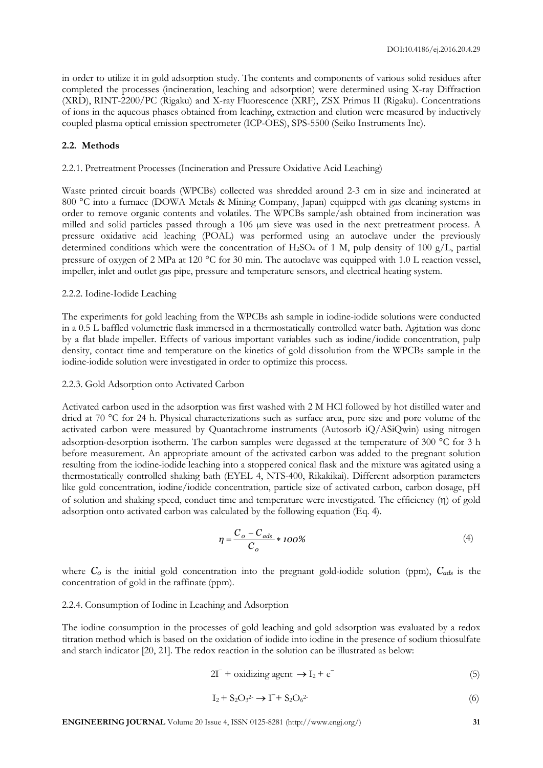in order to utilize it in gold adsorption study. The contents and components of various solid residues after completed the processes (incineration, leaching and adsorption) were determined using X-ray Diffraction (XRD), RINT-2200/PC (Rigaku) and X-ray Fluorescence (XRF), ZSX Primus II (Rigaku). Concentrations of ions in the aqueous phases obtained from leaching, extraction and elution were measured by inductively coupled plasma optical emission spectrometer (ICP-OES), SPS-5500 (Seiko Instruments Inc).

# **2.2. Methods**

#### 2.2.1. Pretreatment Processes (Incineration and Pressure Oxidative Acid Leaching)

Waste printed circuit boards (WPCBs) collected was shredded around 2-3 cm in size and incinerated at 800 °C into a furnace (DOWA Metals & Mining Company, Japan) equipped with gas cleaning systems in order to remove organic contents and volatiles. The WPCBs sample/ash obtained from incineration was milled and solid particles passed through a 106 µm sieve was used in the next pretreatment process. A pressure oxidative acid leaching (POAL) was performed using an autoclave under the previously determined conditions which were the concentration of H<sub>2</sub>SO<sub>4</sub> of 1 M, pulp density of 100 g/L, partial pressure of oxygen of 2 MPa at 120  $^{\circ}$ C for 30 min. The autoclave was equipped with 1.0 L reaction vessel, impeller, inlet and outlet gas pipe, pressure and temperature sensors, and electrical heating system.

# 2.2.2. Iodine-Iodide Leaching

The experiments for gold leaching from the WPCBs ash sample in iodine-iodide solutions were conducted in a 0.5 L baffled volumetric flask immersed in a thermostatically controlled water bath. Agitation was done by a flat blade impeller. Effects of various important variables such as iodine/iodide concentration, pulp density, contact time and temperature on the kinetics of gold dissolution from the WPCBs sample in the iodine-iodide solution were investigated in order to optimize this process.

## 2.2.3. Gold Adsorption onto Activated Carbon

Activated carbon used in the adsorption was first washed with 2 M HCl followed by hot distilled water and dried at 70 °C for 24 h. Physical characterizations such as surface area, pore size and pore volume of the activated carbon were measured by Quantachrome instruments (Autosorb iQ/ASiQwin) using nitrogen adsorption-desorption isotherm. The carbon samples were degassed at the temperature of 300  $^{\circ}$ C for 3 h before measurement. An appropriate amount of the activated carbon was added to the pregnant solution resulting from the iodine-iodide leaching into a stoppered conical flask and the mixture was agitated using a thermostatically controlled shaking bath (EYEL 4, NTS-400, Rikakikai). Different adsorption parameters like gold concentration, iodine/iodide concentration, particle size of activated carbon, carbon dosage, pH of solution and shaking speed, conduct time and temperature were investigated. The efficiency  $(\eta)$  of gold adsorption onto activated carbon was calculated by the following equation (Eq. 4).

$$
\eta = \frac{C_o - C_{ads}}{C_o} * 100\%
$$
 (4)

where  $C<sub>0</sub>$  is the initial gold concentration into the pregnant gold-iodide solution (ppm),  $C<sub>ads</sub>$  is the concentration of gold in the raffinate (ppm).

# 2.2.4. Consumption of Iodine in Leaching and Adsorption

The iodine consumption in the processes of gold leaching and gold adsorption was evaluated by a redox titration method which is based on the oxidation of iodide into iodine in the presence of sodium thiosulfate and starch indicator [20, 21]. The redox reaction in the solution can be illustrated as below:

$$
2I^{-} + \text{oxidizing agent} \rightarrow I_2 + e^{-}
$$
 (5)

$$
I_2 + S_2O_3^2 \rightarrow \Gamma + S_2O_6^2 \tag{6}
$$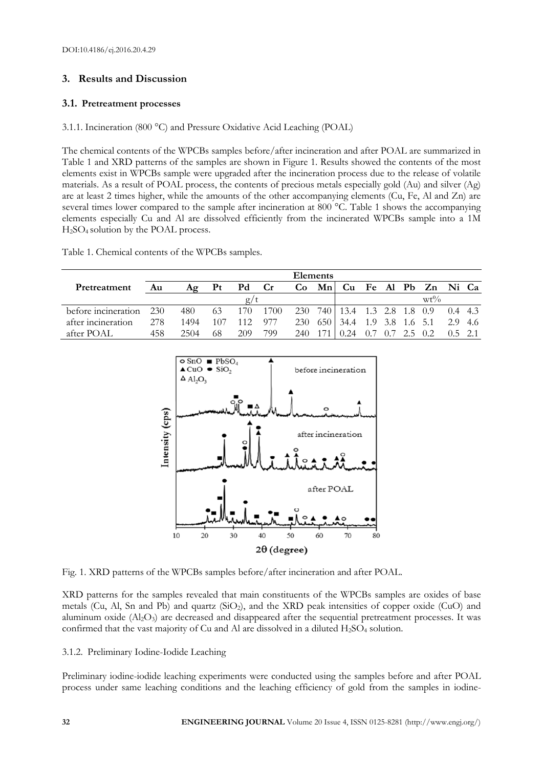# **3. Results and Discussion**

# **3.1. Pretreatment processes**

3.1.1. Incineration (800 °C) and Pressure Oxidative Acid Leaching (POAL)

The chemical contents of the WPCBs samples before/after incineration and after POAL are summarized in Table 1 and XRD patterns of the samples are shown in Figure 1. Results showed the contents of the most elements exist in WPCBs sample were upgraded after the incineration process due to the release of volatile materials. As a result of POAL process, the contents of precious metals especially gold (Au) and silver (Ag) are at least 2 times higher, while the amounts of the other accompanying elements (Cu, Fe, Al and Zn) are several times lower compared to the sample after incineration at 800 °C. Table 1 shows the accompanying elements especially Cu and Al are dissolved efficiently from the incinerated WPCBs sample into a 1M H2SO4 solution by the POAL process.

Table 1. Chemical contents of the WPCBs samples.

|                     | Elements |      |     |     |           |      |    |                      |     |     |             |                      |           |         |
|---------------------|----------|------|-----|-----|-----------|------|----|----------------------|-----|-----|-------------|----------------------|-----------|---------|
| Pretreatment        | Au       | Aα   | Pt  | Pd  | <b>Cr</b> | Co   | Mn |                      |     |     |             | Cu Fe Al Pb Zn Ni Ca |           |         |
|                     |          |      |     |     |           |      |    | $wt\%$               |     |     |             |                      |           |         |
| before incineration | 230      | 480  | 63  | 170 | 1700      | 230  |    | 740 13.4 1.3 2.8 1.8 |     |     |             | 0.9                  | $0.4$ 4.3 |         |
| after incineration  | 278      | 1494 | 107 | 112 | 977       | 230  |    | 650 34.4             | 1.9 |     | 3.8 1.6 5.1 |                      |           | 2.9 4.6 |
| after POAL          | 458      | 2504 | 68  | 209 | 799       | 2.40 |    | 0.24                 |     | 0.7 | 2.5         | 02                   | $0.5$ 2.1 |         |



Fig. 1. XRD patterns of the WPCBs samples before/after incineration and after POAL.

XRD patterns for the samples revealed that main constituents of the WPCBs samples are oxides of base metals (Cu, Al, Sn and Pb) and quartz  $(SiO<sub>2</sub>)$ , and the XRD peak intensities of copper oxide (CuO) and aluminum oxide (Al<sub>2</sub>O<sub>3</sub>) are decreased and disappeared after the sequential pretreatment processes. It was confirmed that the vast majority of Cu and Al are dissolved in a diluted H<sub>2</sub>SO<sub>4</sub> solution.

3.1.2. Preliminary Iodine-Iodide Leaching

Preliminary iodine-iodide leaching experiments were conducted using the samples before and after POAL process under same leaching conditions and the leaching efficiency of gold from the samples in iodine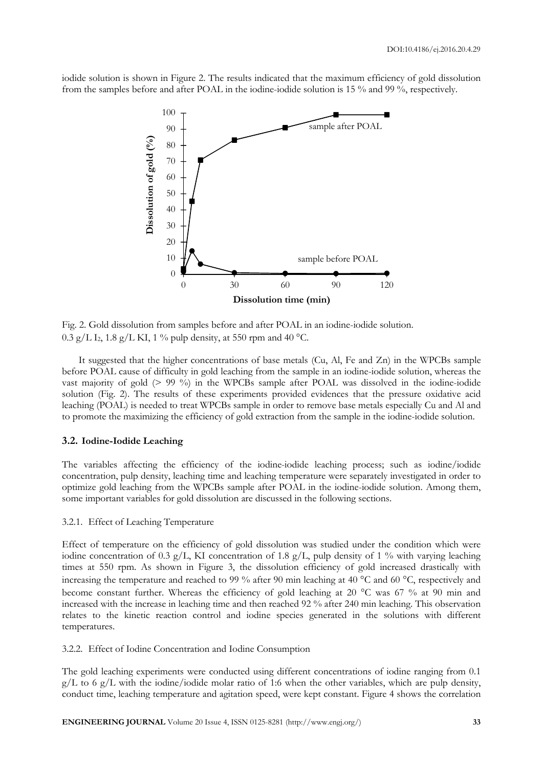iodide solution is shown in Figure 2. The results indicated that the maximum efficiency of gold dissolution from the samples before and after POAL in the iodine-iodide solution is 15 % and 99 %, respectively.



Fig. 2. Gold dissolution from samples before and after POAL in an iodine-iodide solution.  $0.3 \text{ g/L}$  I<sub>2</sub>, 1.8 g/L KI, 1 % pulp density, at 550 rpm and 40 °C.

It suggested that the higher concentrations of base metals (Cu, Al, Fe and Zn) in the WPCBs sample before POAL cause of difficulty in gold leaching from the sample in an iodine-iodide solution, whereas the vast majority of gold (> 99 %) in the WPCBs sample after POAL was dissolved in the iodine-iodide solution (Fig. 2). The results of these experiments provided evidences that the pressure oxidative acid leaching (POAL) is needed to treat WPCBs sample in order to remove base metals especially Cu and Al and to promote the maximizing the efficiency of gold extraction from the sample in the iodine-iodide solution.

# **3.2. Iodine-Iodide Leaching**

The variables affecting the efficiency of the iodine-iodide leaching process; such as iodine/iodide concentration, pulp density, leaching time and leaching temperature were separately investigated in order to optimize gold leaching from the WPCBs sample after POAL in the iodine-iodide solution. Among them, some important variables for gold dissolution are discussed in the following sections.

#### 3.2.1. Effect of Leaching Temperature

Effect of temperature on the efficiency of gold dissolution was studied under the condition which were iodine concentration of 0.3 g/L, KI concentration of 1.8 g/L, pulp density of 1 % with varying leaching times at 550 rpm. As shown in Figure 3, the dissolution efficiency of gold increased drastically with increasing the temperature and reached to 99 % after 90 min leaching at 40  $^{\circ}$ C and 60  $^{\circ}$ C, respectively and become constant further. Whereas the efficiency of gold leaching at 20  $^{\circ}$ C was 67 % at 90 min and increased with the increase in leaching time and then reached 92 % after 240 min leaching. This observation relates to the kinetic reaction control and iodine species generated in the solutions with different temperatures.

### 3.2.2. Effect of Iodine Concentration and Iodine Consumption

The gold leaching experiments were conducted using different concentrations of iodine ranging from 0.1  $g/L$  to 6  $g/L$  with the iodine/iodide molar ratio of 1:6 when the other variables, which are pulp density, conduct time, leaching temperature and agitation speed, were kept constant. Figure 4 shows the correlation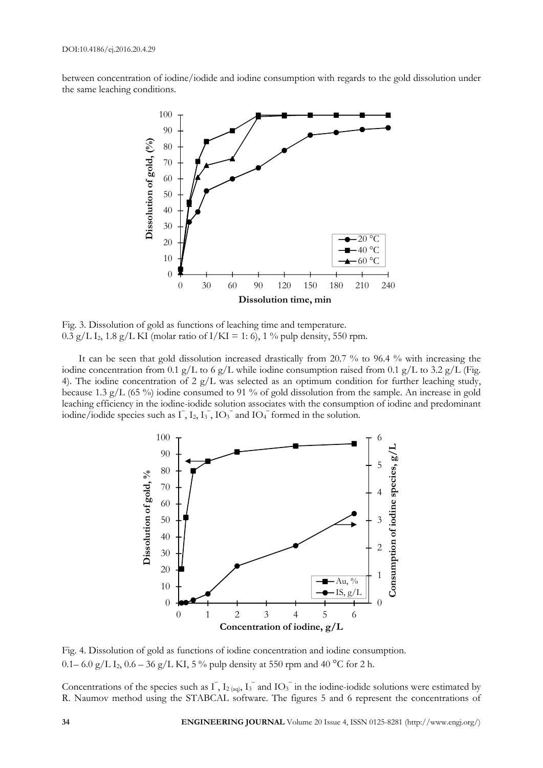between concentration of iodine/iodide and iodine consumption with regards to the gold dissolution under the same leaching conditions.



Fig. 3. Dissolution of gold as functions of leaching time and temperature. 0.3 g/L I<sub>2</sub>, 1.8 g/L KI (molar ratio of I/KI = 1: 6), 1 % pulp density, 550 rpm.

It can be seen that gold dissolution increased drastically from 20.7 % to 96.4 % with increasing the iodine concentration from 0.1 g/L to 6 g/L while iodine consumption raised from 0.1 g/L to 3.2 g/L (Fig. 4). The iodine concentration of 2  $g/L$  was selected as an optimum condition for further leaching study, because 1.3 g/L (65 %) iodine consumed to 91 % of gold dissolution from the sample. An increase in gold leaching efficiency in the iodine-iodide solution associates with the consumption of iodine and predominant iodine/iodide species such as  $\overline{1}$ ,  $I_2$ ,  $\overline{I_3}$ ,  $\overline{IO_3}$  and  $\overline{IO_4}$  formed in the solution.



Fig. 4. Dissolution of gold as functions of iodine concentration and iodine consumption. 0.1– 6.0 g/L I<sub>2</sub>, 0.6 – 36 g/L KI, 5% pulp density at 550 rpm and 40 °C for 2 h.

Concentrations of the species such as  $\overline{I}$ ,  $I_{2(aq)}$ ,  $I_3^-$  and  $I_3^-$  in the iodine-iodide solutions were estimated by R. Naumov method using the STABCAL software. The figures 5 and 6 represent the concentrations of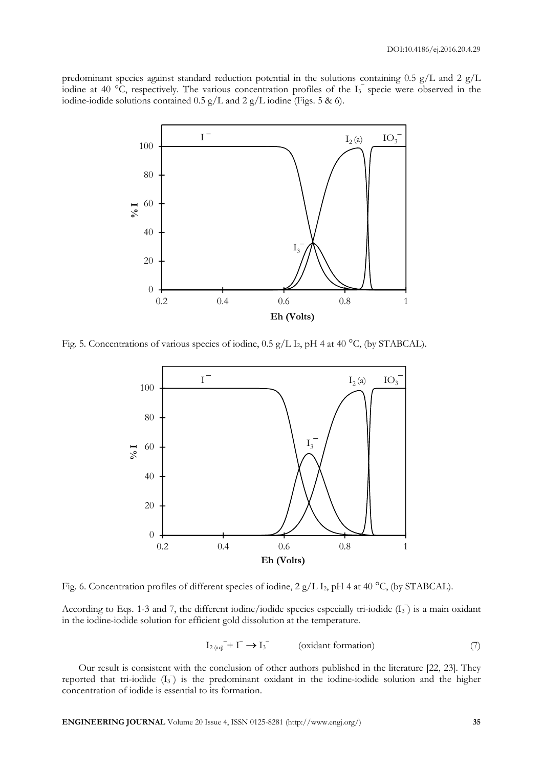predominant species against standard reduction potential in the solutions containing 0.5 g/L and 2 g/L iodine at 40 °C, respectively. The various concentration profiles of the  $I_3^-$  specie were observed in the iodine-iodide solutions contained 0.5 g/L and 2 g/L iodine (Figs. 5 & 6).



Fig. 5. Concentrations of various species of iodine,  $0.5$  g/L I<sub>2</sub>, pH 4 at 40 °C, (by STABCAL).



Fig. 6. Concentration profiles of different species of iodine,  $2 g/L I_2$ , pH 4 at 40 °C, (by STABCAL).

According to Eqs. 1-3 and 7, the different iodine/iodide species especially tri-iodide  $(I_3)$  is a main oxidant in the iodine-iodide solution for efficient gold dissolution at the temperature.

$$
I_{2\text{ (aq)}} + I^- \to I_3^- \qquad \text{(oxidant formation)} \tag{7}
$$

Our result is consistent with the conclusion of other authors published in the literature [22, 23]. They reported that tri-iodide  $(I_3)$  is the predominant oxidant in the iodine-iodide solution and the higher concentration of iodide is essential to its formation.

**ENGINEERING JOURNAL** Volume 20 Issue 4, ISSN 0125-8281 (http://www.engj.org/) **35**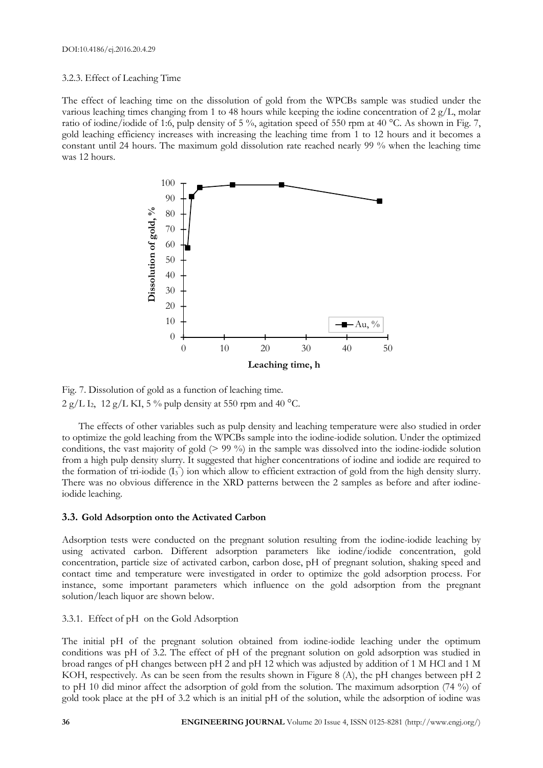# 3.2.3. Effect of Leaching Time

The effect of leaching time on the dissolution of gold from the WPCBs sample was studied under the various leaching times changing from 1 to 48 hours while keeping the iodine concentration of 2 g/L, molar ratio of iodine/iodide of 1:6, pulp density of 5 %, agitation speed of 550 rpm at 40 °C. As shown in Fig. 7, gold leaching efficiency increases with increasing the leaching time from 1 to 12 hours and it becomes a constant until 24 hours. The maximum gold dissolution rate reached nearly 99 % when the leaching time was 12 hours.



Fig. 7. Dissolution of gold as a function of leaching time.  $2 g/L I_2$ , 12 g/L KI, 5% pulp density at 550 rpm and 40 °C.

The effects of other variables such as pulp density and leaching temperature were also studied in order to optimize the gold leaching from the WPCBs sample into the iodine-iodide solution. Under the optimized conditions, the vast majority of gold (> 99 %) in the sample was dissolved into the iodine-iodide solution from a high pulp density slurry. It suggested that higher concentrations of iodine and iodide are required to the formation of tri-iodide  $(I_3)$  ion which allow to efficient extraction of gold from the high density slurry. There was no obvious difference in the XRD patterns between the 2 samples as before and after iodineiodide leaching.

# **3.3. Gold Adsorption onto the Activated Carbon**

Adsorption tests were conducted on the pregnant solution resulting from the iodine-iodide leaching by using activated carbon. Different adsorption parameters like iodine/iodide concentration, gold concentration, particle size of activated carbon, carbon dose, pH of pregnant solution, shaking speed and contact time and temperature were investigated in order to optimize the gold adsorption process. For instance, some important parameters which influence on the gold adsorption from the pregnant solution/leach liquor are shown below.

# 3.3.1. Effect of pH on the Gold Adsorption

The initial pH of the pregnant solution obtained from iodine-iodide leaching under the optimum conditions was pH of 3.2. The effect of pH of the pregnant solution on gold adsorption was studied in broad ranges of pH changes between pH 2 and pH 12 which was adjusted by addition of 1 M HCl and 1 M KOH, respectively. As can be seen from the results shown in Figure 8 (A), the pH changes between pH 2 to pH 10 did minor affect the adsorption of gold from the solution. The maximum adsorption (74 %) of gold took place at the pH of 3.2 which is an initial pH of the solution, while the adsorption of iodine was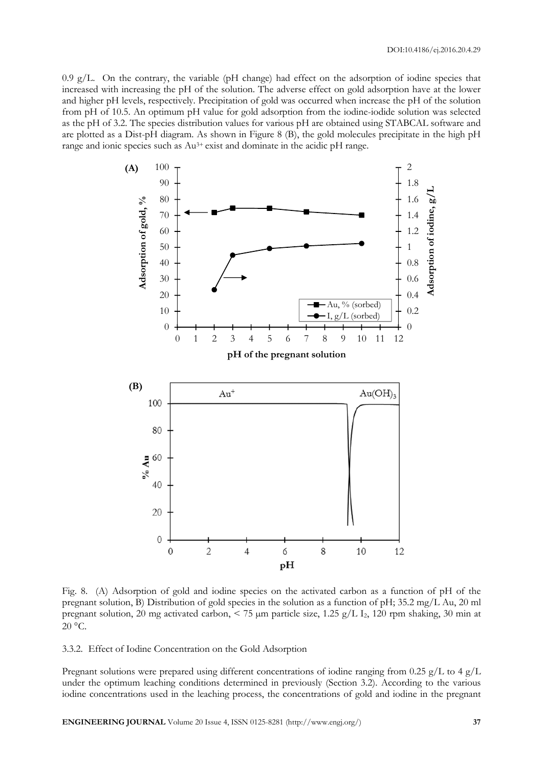0.9 g/L. On the contrary, the variable (pH change) had effect on the adsorption of iodine species that increased with increasing the pH of the solution. The adverse effect on gold adsorption have at the lower and higher pH levels, respectively. Precipitation of gold was occurred when increase the pH of the solution from pH of 10.5. An optimum pH value for gold adsorption from the iodine-iodide solution was selected as the pH of 3.2. The species distribution values for various pH are obtained using STABCAL software and are plotted as a Dist-pH diagram. As shown in Figure 8 (B), the gold molecules precipitate in the high pH range and ionic species such as Au3+ exist and dominate in the acidic pH range.



Fig. 8. (A) Adsorption of gold and iodine species on the activated carbon as a function of pH of the pregnant solution, B) Distribution of gold species in the solution as a function of pH; 35.2 mg/L Au, 20 ml pregnant solution, 20 mg activated carbon,  $\lt 75$  µm particle size, 1.25 g/L I<sub>2</sub>, 120 rpm shaking, 30 min at  $20^{\circ}$ C.

3.3.2. Effect of Iodine Concentration on the Gold Adsorption

Pregnant solutions were prepared using different concentrations of iodine ranging from 0.25 g/L to 4 g/L under the optimum leaching conditions determined in previously (Section 3.2). According to the various iodine concentrations used in the leaching process, the concentrations of gold and iodine in the pregnant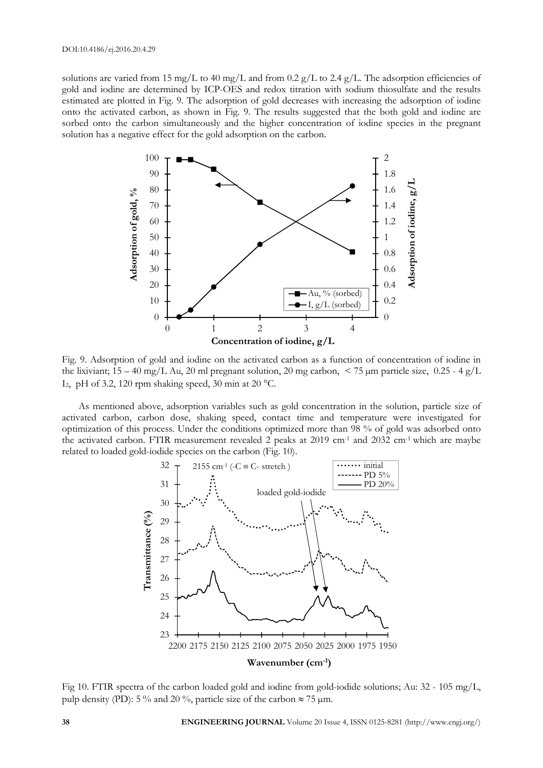solutions are varied from 15 mg/L to 40 mg/L and from 0.2 g/L to 2.4 g/L. The adsorption efficiencies of gold and iodine are determined by ICP-OES and redox titration with sodium thiosulfate and the results estimated are plotted in Fig. 9. The adsorption of gold decreases with increasing the adsorption of iodine onto the activated carbon, as shown in Fig. 9. The results suggested that the both gold and iodine are sorbed onto the carbon simultaneously and the higher concentration of iodine species in the pregnant solution has a negative effect for the gold adsorption on the carbon.



Fig. 9. Adsorption of gold and iodine on the activated carbon as a function of concentration of iodine in the lixiviant;  $15 - 40$  mg/L Au, 20 ml pregnant solution, 20 mg carbon,  $\lt 75$  µm particle size, 0.25 - 4 g/L I<sub>2</sub>, pH of 3.2, 120 rpm shaking speed, 30 min at 20 °C.

As mentioned above, adsorption variables such as gold concentration in the solution, particle size of activated carbon, carbon dose, shaking speed, contact time and temperature were investigated for optimization of this process. Under the conditions optimized more than 98 % of gold was adsorbed onto the activated carbon. FTIR measurement revealed 2 peaks at 2019 cm-1 and 2032 cm-1 which are maybe related to loaded gold-iodide species on the carbon (Fig. 10).



Fig 10. FTIR spectra of the carbon loaded gold and iodine from gold-iodide solutions; Au: 32 - 105 mg/L, pulp density (PD): 5 % and 20 %, particle size of the carbon  $\approx$  75  $\mu$ m.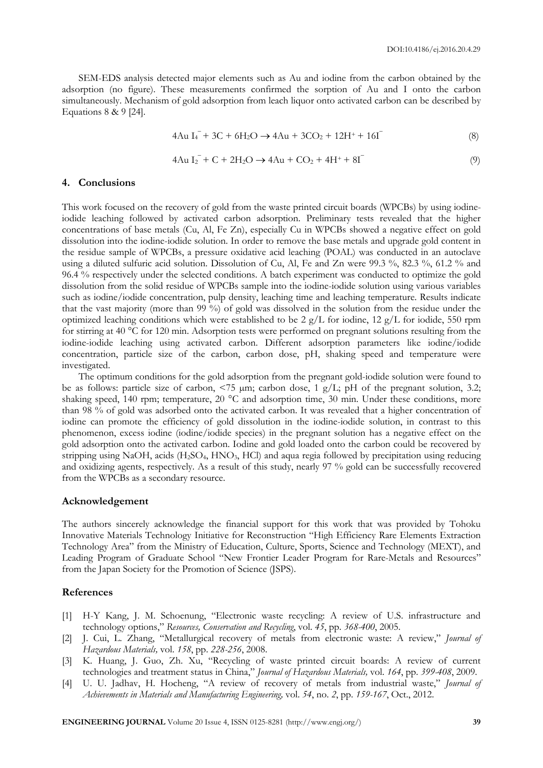SEM-EDS analysis detected major elements such as Au and iodine from the carbon obtained by the adsorption (no figure). These measurements confirmed the sorption of Au and I onto the carbon simultaneously. Mechanism of gold adsorption from leach liquor onto activated carbon can be described by Equations 8 & 9 [24].

$$
4Au I4- + 3C + 6H2O \rightarrow 4Au + 3CO2 + 12H+ + 16I-
$$
\n(8)

$$
4Au I_2^- + C + 2H_2O \to 4Au + CO_2 + 4H^+ + 8I^-
$$
\n(9)

### **4. Conclusions**

This work focused on the recovery of gold from the waste printed circuit boards (WPCBs) by using iodineiodide leaching followed by activated carbon adsorption. Preliminary tests revealed that the higher concentrations of base metals (Cu, Al, Fe Zn), especially Cu in WPCBs showed a negative effect on gold dissolution into the iodine-iodide solution. In order to remove the base metals and upgrade gold content in the residue sample of WPCBs, a pressure oxidative acid leaching (POAL) was conducted in an autoclave using a diluted sulfuric acid solution. Dissolution of Cu, Al, Fe and Zn were 99.3 %, 82.3 %, 61.2 % and 96.4 % respectively under the selected conditions. A batch experiment was conducted to optimize the gold dissolution from the solid residue of WPCBs sample into the iodine-iodide solution using various variables such as iodine/iodide concentration, pulp density, leaching time and leaching temperature. Results indicate that the vast majority (more than 99 %) of gold was dissolved in the solution from the residue under the optimized leaching conditions which were established to be 2  $g/L$  for iodine, 12  $g/L$  for iodide, 550 rpm for stirring at 40 °C for 120 min. Adsorption tests were performed on pregnant solutions resulting from the iodine-iodide leaching using activated carbon. Different adsorption parameters like iodine/iodide concentration, particle size of the carbon, carbon dose, pH, shaking speed and temperature were investigated.

The optimum conditions for the gold adsorption from the pregnant gold-iodide solution were found to be as follows: particle size of carbon,  $\leq 75$  µm; carbon dose, 1 g/L; pH of the pregnant solution, 3.2; shaking speed, 140 rpm; temperature, 20 °C and adsorption time, 30 min. Under these conditions, more than 98 % of gold was adsorbed onto the activated carbon. It was revealed that a higher concentration of iodine can promote the efficiency of gold dissolution in the iodine-iodide solution, in contrast to this phenomenon, excess iodine (iodine/iodide species) in the pregnant solution has a negative effect on the gold adsorption onto the activated carbon. Iodine and gold loaded onto the carbon could be recovered by stripping using NaOH, acids (H2SO4, HNO3, HCl) and aqua regia followed by precipitation using reducing and oxidizing agents, respectively. As a result of this study, nearly 97 % gold can be successfully recovered from the WPCBs as a secondary resource.

#### **Acknowledgement**

The authors sincerely acknowledge the financial support for this work that was provided by Tohoku Innovative Materials Technology Initiative for Reconstruction "High Efficiency Rare Elements Extraction Technology Area" from the Ministry of Education, Culture, Sports, Science and Technology (MEXT), and Leading Program of Graduate School "New Frontier Leader Program for Rare-Metals and Resources" from the Japan Society for the Promotion of Science (JSPS).

# **References**

- [1] H-Y Kang, J. M. Schoenung, "Electronic waste recycling: A review of U.S. infrastructure and technology options," *Resources, Conservation and Recycling*, vol. *45*, pp. *368-400*, 2005.
- [2] J. Cui, L. Zhang, "Metallurgical recovery of metals from electronic waste: A review," *Journal of Hazardous Materials,* vol. *158*, pp. *228-256*, 2008.
- [3] K. Huang, J. Guo, Zh. Xu, "Recycling of waste printed circuit boards: A review of current technologies and treatment status in China," *Journal of Hazardous Materials,* vol. *164*, pp. *399-408*, 2009.
- [4] U. U. Jadhav, H. Hocheng, "A review of recovery of metals from industrial waste," *Journal of Achievements in Materials and Manufacturing Engineering,* vol. *54*, no. *2*, pp. *159-167*, Oct., 2012.

**ENGINEERING JOURNAL** Volume 20 Issue 4, ISSN 0125-8281 (http://www.engj.org/) **39**